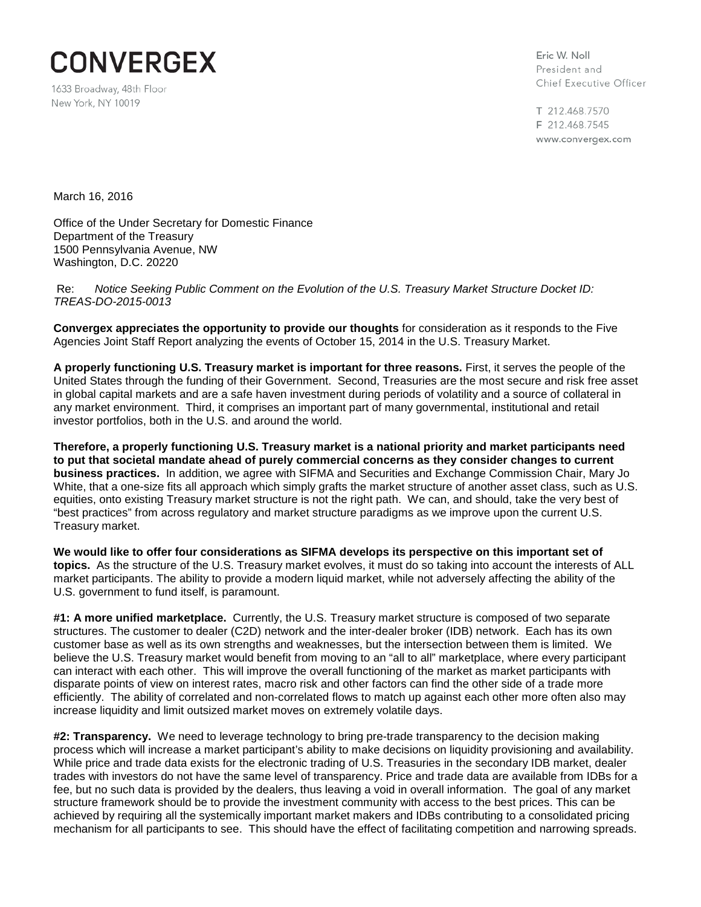

1633 Broadway, 48th Floor New York, NY 10019

Eric W. Noll President and Chief Executive Officer

T 212.468.7570 F 212.468.7545 www.convergex.com

March 16, 2016

Office of the Under Secretary for Domestic Finance Department of the Treasury 1500 Pennsylvania Avenue, NW Washington, D.C. 20220

Re: *Notice Seeking Public Comment on the Evolution of the U.S. Treasury Market Structure Docket ID: TREAS-DO-2015-0013*

**Convergex appreciates the opportunity to provide our thoughts** for consideration as it responds to the Five Agencies Joint Staff Report analyzing the events of October 15, 2014 in the U.S. Treasury Market.

**A properly functioning U.S. Treasury market is important for three reasons.** First, it serves the people of the United States through the funding of their Government. Second, Treasuries are the most secure and risk free asset in global capital markets and are a safe haven investment during periods of volatility and a source of collateral in any market environment. Third, it comprises an important part of many governmental, institutional and retail investor portfolios, both in the U.S. and around the world.

**Therefore, a properly functioning U.S. Treasury market is a national priority and market participants need to put that societal mandate ahead of purely commercial concerns as they consider changes to current business practices.** In addition, we agree with SIFMA and Securities and Exchange Commission Chair, Mary Jo White, that a one-size fits all approach which simply grafts the market structure of another asset class, such as U.S. equities, onto existing Treasury market structure is not the right path. We can, and should, take the very best of "best practices" from across regulatory and market structure paradigms as we improve upon the current U.S. Treasury market.

**We would like to offer four considerations as SIFMA develops its perspective on this important set of topics.** As the structure of the U.S. Treasury market evolves, it must do so taking into account the interests of ALL market participants. The ability to provide a modern liquid market, while not adversely affecting the ability of the U.S. government to fund itself, is paramount.

**#1: A more unified marketplace.** Currently, the U.S. Treasury market structure is composed of two separate structures. The customer to dealer (C2D) network and the inter-dealer broker (IDB) network. Each has its own customer base as well as its own strengths and weaknesses, but the intersection between them is limited. We believe the U.S. Treasury market would benefit from moving to an "all to all" marketplace, where every participant can interact with each other. This will improve the overall functioning of the market as market participants with disparate points of view on interest rates, macro risk and other factors can find the other side of a trade more efficiently. The ability of correlated and non-correlated flows to match up against each other more often also may increase liquidity and limit outsized market moves on extremely volatile days.

**#2: Transparency.** We need to leverage technology to bring pre-trade transparency to the decision making process which will increase a market participant's ability to make decisions on liquidity provisioning and availability. While price and trade data exists for the electronic trading of U.S. Treasuries in the secondary IDB market, dealer trades with investors do not have the same level of transparency. Price and trade data are available from IDBs for a fee, but no such data is provided by the dealers, thus leaving a void in overall information. The goal of any market structure framework should be to provide the investment community with access to the best prices. This can be achieved by requiring all the systemically important market makers and IDBs contributing to a consolidated pricing mechanism for all participants to see. This should have the effect of facilitating competition and narrowing spreads.